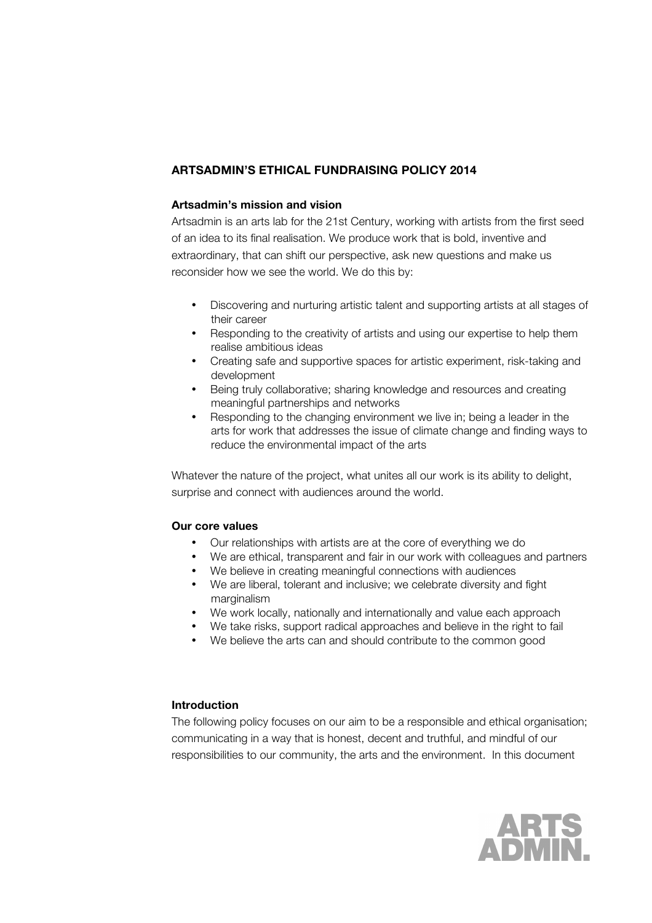# **ARTSADMIN'S ETHICAL FUNDRAISING POLICY 2014**

### **Artsadmin's mission and vision**

Artsadmin is an arts lab for the 21st Century, working with artists from the first seed of an idea to its final realisation. We produce work that is bold, inventive and extraordinary, that can shift our perspective, ask new questions and make us reconsider how we see the world. We do this by:

- Discovering and nurturing artistic talent and supporting artists at all stages of their career
- Responding to the creativity of artists and using our expertise to help them realise ambitious ideas
- Creating safe and supportive spaces for artistic experiment, risk-taking and development
- Being truly collaborative; sharing knowledge and resources and creating meaningful partnerships and networks
- Responding to the changing environment we live in; being a leader in the arts for work that addresses the issue of climate change and finding ways to reduce the environmental impact of the arts

Whatever the nature of the project, what unites all our work is its ability to delight, surprise and connect with audiences around the world.

#### **Our core values**

- Our relationships with artists are at the core of everything we do
- We are ethical, transparent and fair in our work with colleagues and partners
- We believe in creating meaningful connections with audiences
- We are liberal, tolerant and inclusive; we celebrate diversity and fight marginalism
- We work locally, nationally and internationally and value each approach
- We take risks, support radical approaches and believe in the right to fail
- We believe the arts can and should contribute to the common good

### **Introduction**

The following policy focuses on our aim to be a responsible and ethical organisation; communicating in a way that is honest, decent and truthful, and mindful of our responsibilities to our community, the arts and the environment. In this document

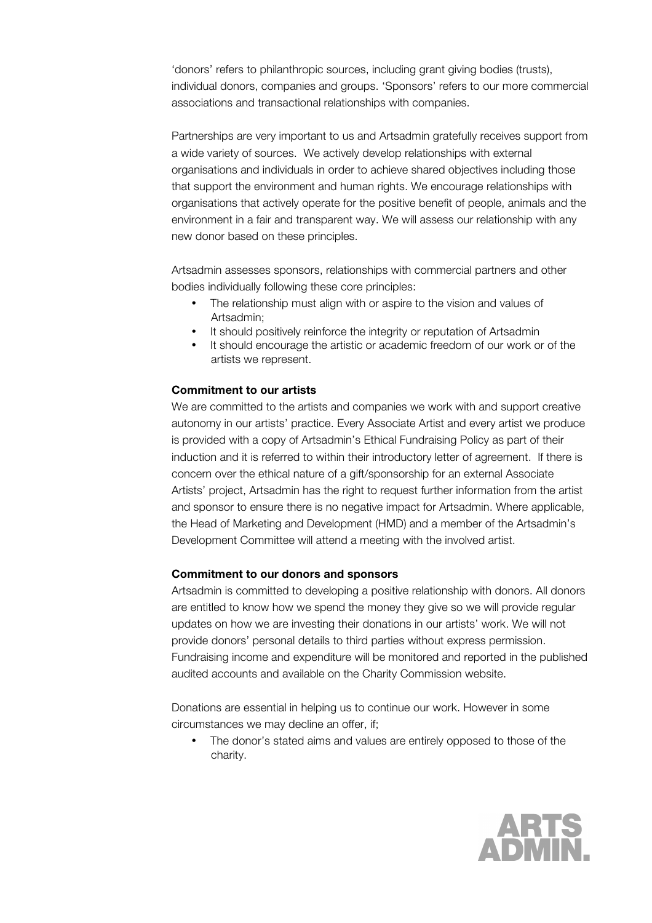'donors' refers to philanthropic sources, including grant giving bodies (trusts), individual donors, companies and groups. 'Sponsors' refers to our more commercial associations and transactional relationships with companies.

Partnerships are very important to us and Artsadmin gratefully receives support from a wide variety of sources. We actively develop relationships with external organisations and individuals in order to achieve shared objectives including those that support the environment and human rights. We encourage relationships with organisations that actively operate for the positive benefit of people, animals and the environment in a fair and transparent way. We will assess our relationship with any new donor based on these principles.

Artsadmin assesses sponsors, relationships with commercial partners and other bodies individually following these core principles:

- The relationship must align with or aspire to the vision and values of Artsadmin;
- It should positively reinforce the integrity or reputation of Artsadmin
- It should encourage the artistic or academic freedom of our work or of the artists we represent.

#### **Commitment to our artists**

We are committed to the artists and companies we work with and support creative autonomy in our artists' practice. Every Associate Artist and every artist we produce is provided with a copy of Artsadmin's Ethical Fundraising Policy as part of their induction and it is referred to within their introductory letter of agreement. If there is concern over the ethical nature of a gift/sponsorship for an external Associate Artists' project, Artsadmin has the right to request further information from the artist and sponsor to ensure there is no negative impact for Artsadmin. Where applicable, the Head of Marketing and Development (HMD) and a member of the Artsadmin's Development Committee will attend a meeting with the involved artist.

#### **Commitment to our donors and sponsors**

Artsadmin is committed to developing a positive relationship with donors. All donors are entitled to know how we spend the money they give so we will provide regular updates on how we are investing their donations in our artists' work. We will not provide donors' personal details to third parties without express permission. Fundraising income and expenditure will be monitored and reported in the published audited accounts and available on the Charity Commission website.

Donations are essential in helping us to continue our work. However in some circumstances we may decline an offer, if;

• The donor's stated aims and values are entirely opposed to those of the charity.